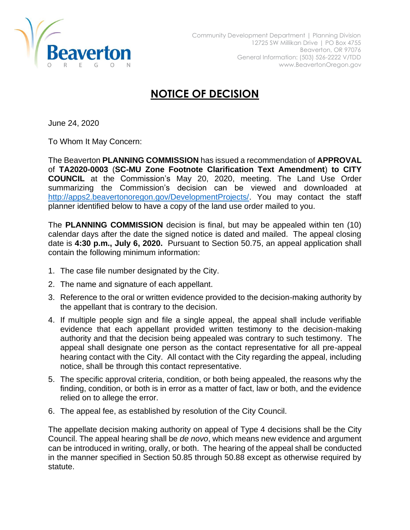

## **NOTICE OF DECISION**

June 24, 2020

To Whom It May Concern:

The Beaverton **PLANNING COMMISSION** has issued a recommendation of **APPROVAL** of **TA2020-0003** (**SC-MU Zone Footnote Clarification Text Amendment**) **to CITY COUNCIL** at the Commission's May 20, 2020, meeting. The Land Use Order summarizing the Commission's decision can be viewed and downloaded at [http://apps2.beavertonoregon.gov/DevelopmentProjects/.](http://apps2.beavertonoregon.gov/DevelopmentProjects/) You may contact the staff planner identified below to have a copy of the land use order mailed to you.

The **PLANNING COMMISSION** decision is final, but may be appealed within ten (10) calendar days after the date the signed notice is dated and mailed. The appeal closing date is **4:30 p.m., July 6, 2020.** Pursuant to Section 50.75, an appeal application shall contain the following minimum information:

- 1. The case file number designated by the City.
- 2. The name and signature of each appellant.
- 3. Reference to the oral or written evidence provided to the decision-making authority by the appellant that is contrary to the decision.
- 4. If multiple people sign and file a single appeal, the appeal shall include verifiable evidence that each appellant provided written testimony to the decision-making authority and that the decision being appealed was contrary to such testimony. The appeal shall designate one person as the contact representative for all pre-appeal hearing contact with the City. All contact with the City regarding the appeal, including notice, shall be through this contact representative.
- 5. The specific approval criteria, condition, or both being appealed, the reasons why the finding, condition, or both is in error as a matter of fact, law or both, and the evidence relied on to allege the error.
- 6. The appeal fee, as established by resolution of the City Council.

The appellate decision making authority on appeal of Type 4 decisions shall be the City Council. The appeal hearing shall be *de novo*, which means new evidence and argument can be introduced in writing, orally, or both. The hearing of the appeal shall be conducted in the manner specified in Section 50.85 through 50.88 except as otherwise required by statute.